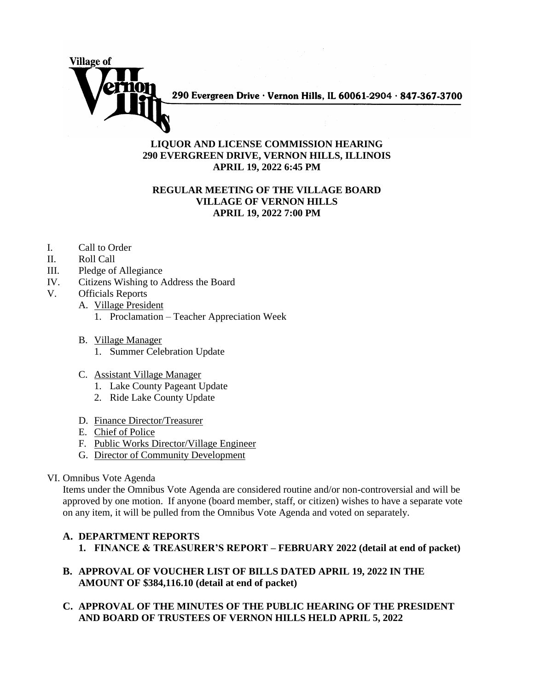

290 Evergreen Drive · Vernon Hills, IL 60061-2904 · 847-367-3700

## **LIQUOR AND LICENSE COMMISSION HEARING 290 EVERGREEN DRIVE, VERNON HILLS, ILLINOIS APRIL 19, 2022 6:45 PM**

## **REGULAR MEETING OF THE VILLAGE BOARD VILLAGE OF VERNON HILLS APRIL 19, 2022 7:00 PM**

- I. Call to Order
- II. Roll Call
- III. Pledge of Allegiance
- IV. Citizens Wishing to Address the Board
- V. Officials Reports
	- A. Village President
		- 1. Proclamation Teacher Appreciation Week
	- B. Village Manager
		- 1. Summer Celebration Update
	- C. Assistant Village Manager
		- 1. Lake County Pageant Update
		- 2. Ride Lake County Update
	- D. Finance Director/Treasurer
	- E. Chief of Police
	- F. Public Works Director/Village Engineer
	- G. Director of Community Development
- VI. Omnibus Vote Agenda

Items under the Omnibus Vote Agenda are considered routine and/or non-controversial and will be approved by one motion. If anyone (board member, staff, or citizen) wishes to have a separate vote on any item, it will be pulled from the Omnibus Vote Agenda and voted on separately.

## **A. DEPARTMENT REPORTS 1. FINANCE & TREASURER'S REPORT – FEBRUARY 2022 (detail at end of packet)**

- **B. APPROVAL OF VOUCHER LIST OF BILLS DATED APRIL 19, 2022 IN THE AMOUNT OF \$384,116.10 (detail at end of packet)**
- **C. APPROVAL OF THE MINUTES OF THE PUBLIC HEARING OF THE PRESIDENT AND BOARD OF TRUSTEES OF VERNON HILLS HELD APRIL 5, 2022**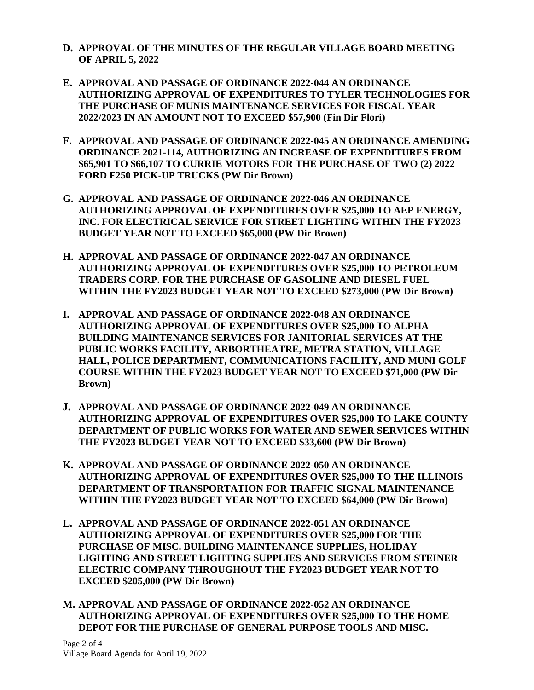- **D. APPROVAL OF THE MINUTES OF THE REGULAR VILLAGE BOARD MEETING OF APRIL 5, 2022**
- **E. APPROVAL AND PASSAGE OF ORDINANCE 2022-044 AN ORDINANCE AUTHORIZING APPROVAL OF EXPENDITURES TO TYLER TECHNOLOGIES FOR THE PURCHASE OF MUNIS MAINTENANCE SERVICES FOR FISCAL YEAR 2022/2023 IN AN AMOUNT NOT TO EXCEED \$57,900 (Fin Dir Flori)**
- **F. APPROVAL AND PASSAGE OF ORDINANCE 2022-045 AN ORDINANCE AMENDING ORDINANCE 2021-114, AUTHORIZING AN INCREASE OF EXPENDITURES FROM \$65,901 TO \$66,107 TO CURRIE MOTORS FOR THE PURCHASE OF TWO (2) 2022 FORD F250 PICK-UP TRUCKS (PW Dir Brown)**
- **G. APPROVAL AND PASSAGE OF ORDINANCE 2022-046 AN ORDINANCE AUTHORIZING APPROVAL OF EXPENDITURES OVER \$25,000 TO AEP ENERGY, INC. FOR ELECTRICAL SERVICE FOR STREET LIGHTING WITHIN THE FY2023 BUDGET YEAR NOT TO EXCEED \$65,000 (PW Dir Brown)**
- **H. APPROVAL AND PASSAGE OF ORDINANCE 2022-047 AN ORDINANCE AUTHORIZING APPROVAL OF EXPENDITURES OVER \$25,000 TO PETROLEUM TRADERS CORP. FOR THE PURCHASE OF GASOLINE AND DIESEL FUEL WITHIN THE FY2023 BUDGET YEAR NOT TO EXCEED \$273,000 (PW Dir Brown)**
- **I. APPROVAL AND PASSAGE OF ORDINANCE 2022-048 AN ORDINANCE AUTHORIZING APPROVAL OF EXPENDITURES OVER \$25,000 TO ALPHA BUILDING MAINTENANCE SERVICES FOR JANITORIAL SERVICES AT THE PUBLIC WORKS FACILITY, ARBORTHEATRE, METRA STATION, VILLAGE HALL, POLICE DEPARTMENT, COMMUNICATIONS FACILITY, AND MUNI GOLF COURSE WITHIN THE FY2023 BUDGET YEAR NOT TO EXCEED \$71,000 (PW Dir Brown)**
- **J. APPROVAL AND PASSAGE OF ORDINANCE 2022-049 AN ORDINANCE AUTHORIZING APPROVAL OF EXPENDITURES OVER \$25,000 TO LAKE COUNTY DEPARTMENT OF PUBLIC WORKS FOR WATER AND SEWER SERVICES WITHIN THE FY2023 BUDGET YEAR NOT TO EXCEED \$33,600 (PW Dir Brown)**
- **K. APPROVAL AND PASSAGE OF ORDINANCE 2022-050 AN ORDINANCE AUTHORIZING APPROVAL OF EXPENDITURES OVER \$25,000 TO THE ILLINOIS DEPARTMENT OF TRANSPORTATION FOR TRAFFIC SIGNAL MAINTENANCE WITHIN THE FY2023 BUDGET YEAR NOT TO EXCEED \$64,000 (PW Dir Brown)**
- **L. APPROVAL AND PASSAGE OF ORDINANCE 2022-051 AN ORDINANCE AUTHORIZING APPROVAL OF EXPENDITURES OVER \$25,000 FOR THE PURCHASE OF MISC. BUILDING MAINTENANCE SUPPLIES, HOLIDAY LIGHTING AND STREET LIGHTING SUPPLIES AND SERVICES FROM STEINER ELECTRIC COMPANY THROUGHOUT THE FY2023 BUDGET YEAR NOT TO EXCEED \$205,000 (PW Dir Brown)**
- **M. APPROVAL AND PASSAGE OF ORDINANCE 2022-052 AN ORDINANCE AUTHORIZING APPROVAL OF EXPENDITURES OVER \$25,000 TO THE HOME DEPOT FOR THE PURCHASE OF GENERAL PURPOSE TOOLS AND MISC.**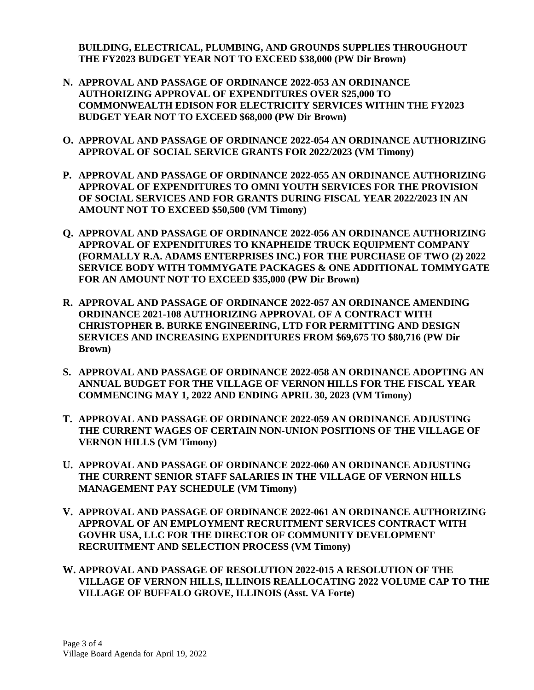**BUILDING, ELECTRICAL, PLUMBING, AND GROUNDS SUPPLIES THROUGHOUT THE FY2023 BUDGET YEAR NOT TO EXCEED \$38,000 (PW Dir Brown)**

- **N. APPROVAL AND PASSAGE OF ORDINANCE 2022-053 AN ORDINANCE AUTHORIZING APPROVAL OF EXPENDITURES OVER \$25,000 TO COMMONWEALTH EDISON FOR ELECTRICITY SERVICES WITHIN THE FY2023 BUDGET YEAR NOT TO EXCEED \$68,000 (PW Dir Brown)**
- **O. APPROVAL AND PASSAGE OF ORDINANCE 2022-054 AN ORDINANCE AUTHORIZING APPROVAL OF SOCIAL SERVICE GRANTS FOR 2022/2023 (VM Timony)**
- **P. APPROVAL AND PASSAGE OF ORDINANCE 2022-055 AN ORDINANCE AUTHORIZING APPROVAL OF EXPENDITURES TO OMNI YOUTH SERVICES FOR THE PROVISION OF SOCIAL SERVICES AND FOR GRANTS DURING FISCAL YEAR 2022/2023 IN AN AMOUNT NOT TO EXCEED \$50,500 (VM Timony)**
- **Q. APPROVAL AND PASSAGE OF ORDINANCE 2022-056 AN ORDINANCE AUTHORIZING APPROVAL OF EXPENDITURES TO KNAPHEIDE TRUCK EQUIPMENT COMPANY (FORMALLY R.A. ADAMS ENTERPRISES INC.) FOR THE PURCHASE OF TWO (2) 2022 SERVICE BODY WITH TOMMYGATE PACKAGES & ONE ADDITIONAL TOMMYGATE FOR AN AMOUNT NOT TO EXCEED \$35,000 (PW Dir Brown)**
- **R. APPROVAL AND PASSAGE OF ORDINANCE 2022-057 AN ORDINANCE AMENDING ORDINANCE 2021-108 AUTHORIZING APPROVAL OF A CONTRACT WITH CHRISTOPHER B. BURKE ENGINEERING, LTD FOR PERMITTING AND DESIGN SERVICES AND INCREASING EXPENDITURES FROM \$69,675 TO \$80,716 (PW Dir Brown)**
- **S. APPROVAL AND PASSAGE OF ORDINANCE 2022-058 AN ORDINANCE ADOPTING AN ANNUAL BUDGET FOR THE VILLAGE OF VERNON HILLS FOR THE FISCAL YEAR COMMENCING MAY 1, 2022 AND ENDING APRIL 30, 2023 (VM Timony)**
- **T. APPROVAL AND PASSAGE OF ORDINANCE 2022-059 AN ORDINANCE ADJUSTING THE CURRENT WAGES OF CERTAIN NON-UNION POSITIONS OF THE VILLAGE OF VERNON HILLS (VM Timony)**
- **U. APPROVAL AND PASSAGE OF ORDINANCE 2022-060 AN ORDINANCE ADJUSTING THE CURRENT SENIOR STAFF SALARIES IN THE VILLAGE OF VERNON HILLS MANAGEMENT PAY SCHEDULE (VM Timony)**
- **V. APPROVAL AND PASSAGE OF ORDINANCE 2022-061 AN ORDINANCE AUTHORIZING APPROVAL OF AN EMPLOYMENT RECRUITMENT SERVICES CONTRACT WITH GOVHR USA, LLC FOR THE DIRECTOR OF COMMUNITY DEVELOPMENT RECRUITMENT AND SELECTION PROCESS (VM Timony)**
- **W. APPROVAL AND PASSAGE OF RESOLUTION 2022-015 A RESOLUTION OF THE VILLAGE OF VERNON HILLS, ILLINOIS REALLOCATING 2022 VOLUME CAP TO THE VILLAGE OF BUFFALO GROVE, ILLINOIS (Asst. VA Forte)**